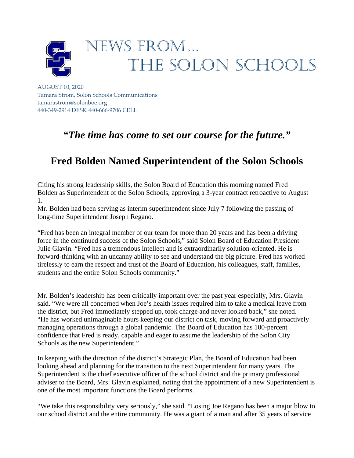

AUGUST 10, 2020 Tamara Strom, Solon Schools Communications tamarastrom@solonboe.org 440-349-2914 DESK 440-666-9706 CELL

## *"The time has come to set our course for the future."*

## **Fred Bolden Named Superintendent of the Solon Schools**

Citing his strong leadership skills, the Solon Board of Education this morning named Fred Bolden as Superintendent of the Solon Schools, approving a 3-year contract retroactive to August 1.

Mr. Bolden had been serving as interim superintendent since July 7 following the passing of long-time Superintendent Joseph Regano.

"Fred has been an integral member of our team for more than 20 years and has been a driving force in the continued success of the Solon Schools," said Solon Board of Education President Julie Glavin. "Fred has a tremendous intellect and is extraordinarily solution-oriented. He is forward-thinking with an uncanny ability to see and understand the big picture. Fred has worked tirelessly to earn the respect and trust of the Board of Education, his colleagues, staff, families, students and the entire Solon Schools community."

Mr. Bolden's leadership has been critically important over the past year especially, Mrs. Glavin said. "We were all concerned when Joe's health issues required him to take a medical leave from the district, but Fred immediately stepped up, took charge and never looked back," she noted. "He has worked unimaginable hours keeping our district on task, moving forward and proactively managing operations through a global pandemic. The Board of Education has 100-percent confidence that Fred is ready, capable and eager to assume the leadership of the Solon City Schools as the new Superintendent."

In keeping with the direction of the district's Strategic Plan, the Board of Education had been looking ahead and planning for the transition to the next Superintendent for many years. The Superintendent is the chief executive officer of the school district and the primary professional adviser to the Board, Mrs. Glavin explained, noting that the appointment of a new Superintendent is one of the most important functions the Board performs.

"We take this responsibility very seriously," she said. "Losing Joe Regano has been a major blow to our school district and the entire community. He was a giant of a man and after 35 years of service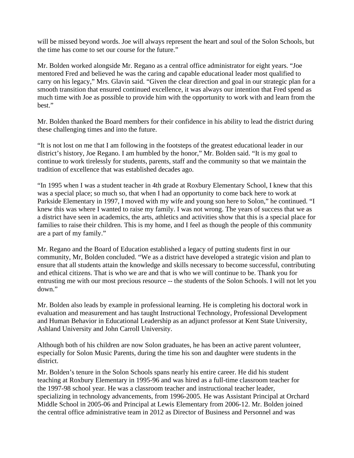will be missed beyond words. Joe will always represent the heart and soul of the Solon Schools, but the time has come to set our course for the future."

Mr. Bolden worked alongside Mr. Regano as a central office administrator for eight years. "Joe mentored Fred and believed he was the caring and capable educational leader most qualified to carry on his legacy," Mrs. Glavin said. "Given the clear direction and goal in our strategic plan for a smooth transition that ensured continued excellence, it was always our intention that Fred spend as much time with Joe as possible to provide him with the opportunity to work with and learn from the best."

Mr. Bolden thanked the Board members for their confidence in his ability to lead the district during these challenging times and into the future.

"It is not lost on me that I am following in the footsteps of the greatest educational leader in our district's history, Joe Regano. I am humbled by the honor," Mr. Bolden said. "It is my goal to continue to work tirelessly for students, parents, staff and the community so that we maintain the tradition of excellence that was established decades ago.

"In 1995 when I was a student teacher in 4th grade at Roxbury Elementary School, I knew that this was a special place; so much so, that when I had an opportunity to come back here to work at Parkside Elementary in 1997, I moved with my wife and young son here to Solon," he continued. "I knew this was where I wanted to raise my family. I was not wrong. The years of success that we as a district have seen in academics, the arts, athletics and activities show that this is a special place for families to raise their children. This is my home, and I feel as though the people of this community are a part of my family."

Mr. Regano and the Board of Education established a legacy of putting students first in our community, Mr, Bolden concluded. "We as a district have developed a strategic vision and plan to ensure that all students attain the knowledge and skills necessary to become successful, contributing and ethical citizens. That is who we are and that is who we will continue to be. Thank you for entrusting me with our most precious resource -- the students of the Solon Schools. I will not let you down."

Mr. Bolden also leads by example in professional learning. He is completing his doctoral work in evaluation and measurement and has taught Instructional Technology, Professional Development and Human Behavior in Educational Leadership as an adjunct professor at Kent State University, Ashland University and John Carroll University.

Although both of his children are now Solon graduates, he has been an active parent volunteer, especially for Solon Music Parents, during the time his son and daughter were students in the district.

Mr. Bolden's tenure in the Solon Schools spans nearly his entire career. He did his student teaching at Roxbury Elementary in 1995-96 and was hired as a full-time classroom teacher for the 1997-98 school year. He was a classroom teacher and instructional teacher leader, specializing in technology advancements, from 1996-2005. He was Assistant Principal at Orchard Middle School in 2005-06 and Principal at Lewis Elementary from 2006-12. Mr. Bolden joined the central office administrative team in 2012 as Director of Business and Personnel and was